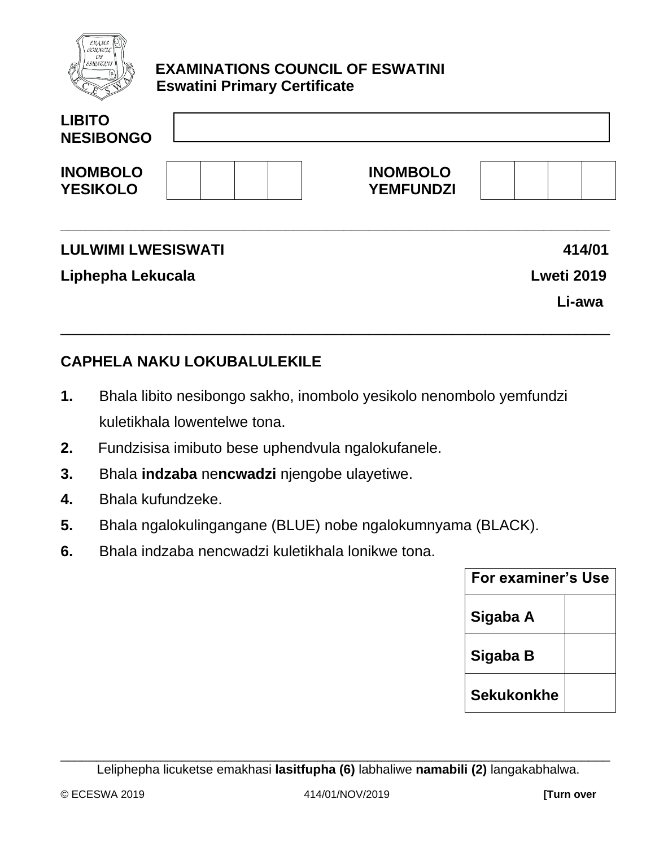

# *EXAMS*<br>*EXAMPER*<br>*ESWATINI* **EXAMINATIONS COUNCIL OF ESWATINI Eswatini Primary Certificate**

| <b>LIBITO</b><br><b>NESIBONGO</b>  |                                     |                   |
|------------------------------------|-------------------------------------|-------------------|
| <b>INOMBOLO</b><br><b>YESIKOLO</b> | <b>INOMBOLO</b><br><b>YEMFUNDZI</b> |                   |
| <b>LULWIMI LWESISWATI</b>          |                                     | 414/01            |
| Liphepha Lekucala                  |                                     | <b>Lweti 2019</b> |
|                                    |                                     | Li-awa            |

\_\_\_\_\_\_\_\_\_\_\_\_\_\_\_\_\_\_\_\_\_\_\_\_\_\_\_\_\_\_\_\_\_\_\_\_\_\_\_\_\_\_\_\_\_\_\_\_\_\_\_\_\_\_\_\_\_\_\_\_\_\_\_\_\_\_

### **CAPHELA NAKU LOKUBALULEKILE**

- **1.** Bhala libito nesibongo sakho, inombolo yesikolo nenombolo yemfundzi kuletikhala lowentelwe tona.
- **2.** Fundzisisa imibuto bese uphendvula ngalokufanele.
- **3.** Bhala **indzaba** ne**ncwadzi** njengobe ulayetiwe.
- **4.** Bhala kufundzeke.
- **5.** Bhala ngalokulingangane (BLUE) nobe ngalokumnyama (BLACK).
- **6.** Bhala indzaba nencwadzi kuletikhala lonikwe tona.

| <b>For examiner's Use</b> |  |  |
|---------------------------|--|--|
| Sigaba A                  |  |  |
| Sigaba B                  |  |  |
| <b>Sekukonkhe</b>         |  |  |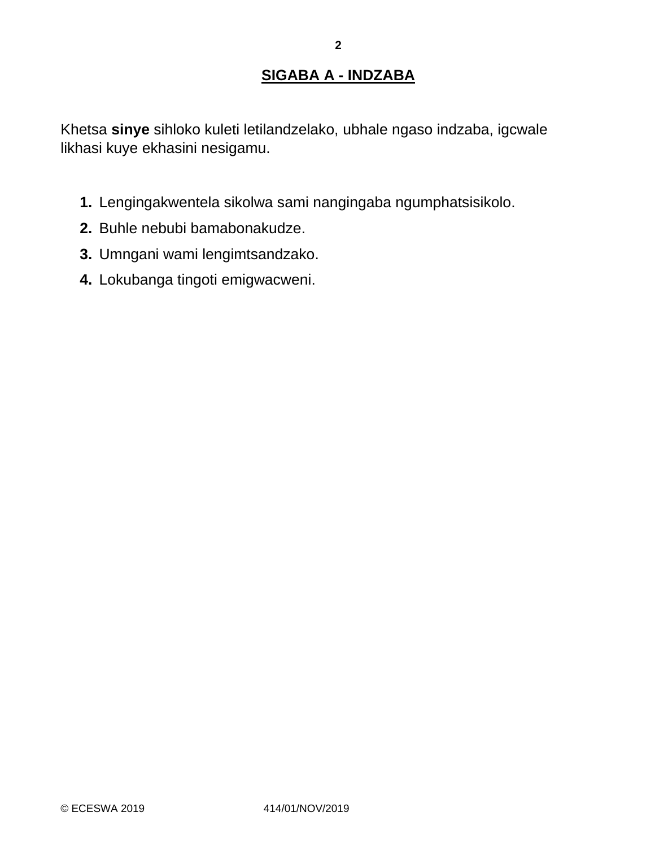# **SIGABA A - INDZABA**

Khetsa **sinye** sihloko kuleti letilandzelako, ubhale ngaso indzaba, igcwale likhasi kuye ekhasini nesigamu.

- **1.** Lengingakwentela sikolwa sami nangingaba ngumphatsisikolo.
- **2.** Buhle nebubi bamabonakudze.
- **3.** Umngani wami lengimtsandzako.
- **4.** Lokubanga tingoti emigwacweni.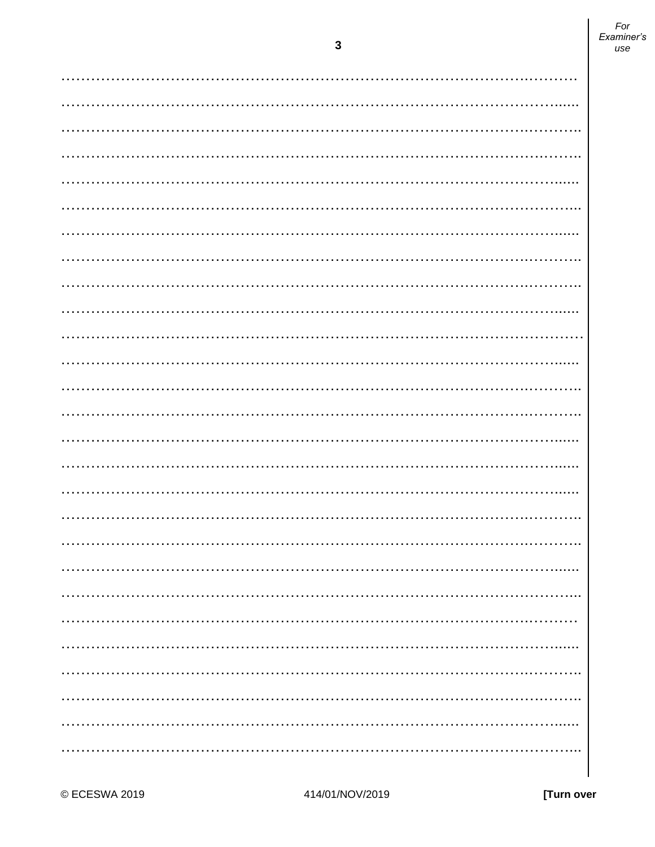$For$ Examiner's use

| . |
|---|
|   |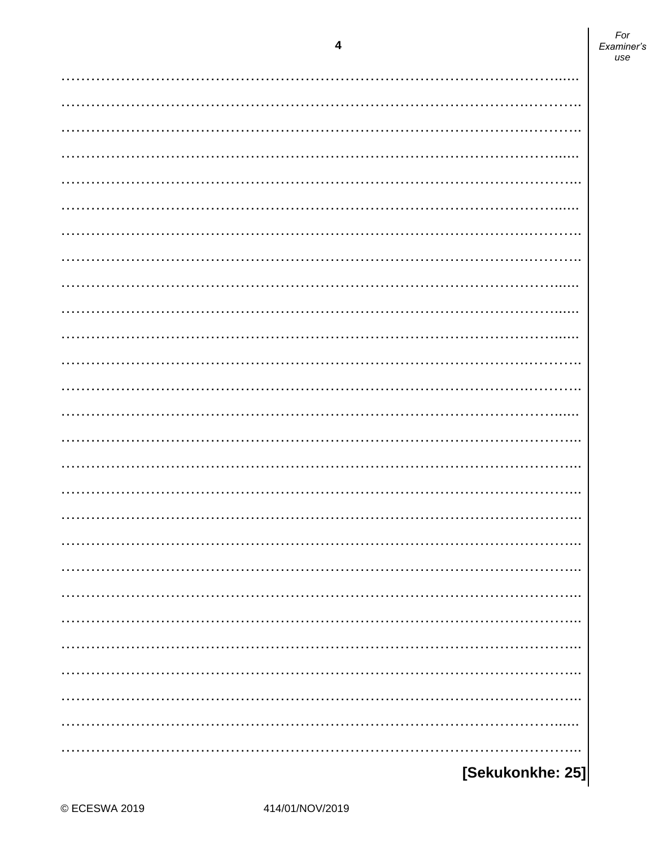For Examiner's use

# [Sekukonkhe: 25]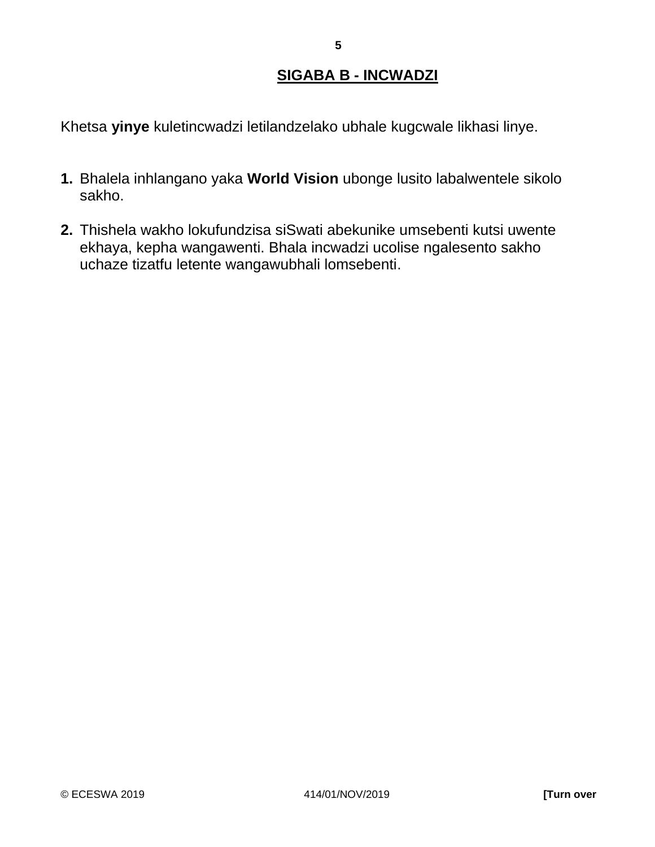## **SIGABA B - INCWADZI**

Khetsa **yinye** kuletincwadzi letilandzelako ubhale kugcwale likhasi linye.

- **1.** Bhalela inhlangano yaka **World Vision** ubonge lusito labalwentele sikolo sakho.
- **2.** Thishela wakho lokufundzisa siSwati abekunike umsebenti kutsi uwente ekhaya, kepha wangawenti. Bhala incwadzi ucolise ngalesento sakho uchaze tizatfu letente wangawubhali lomsebenti.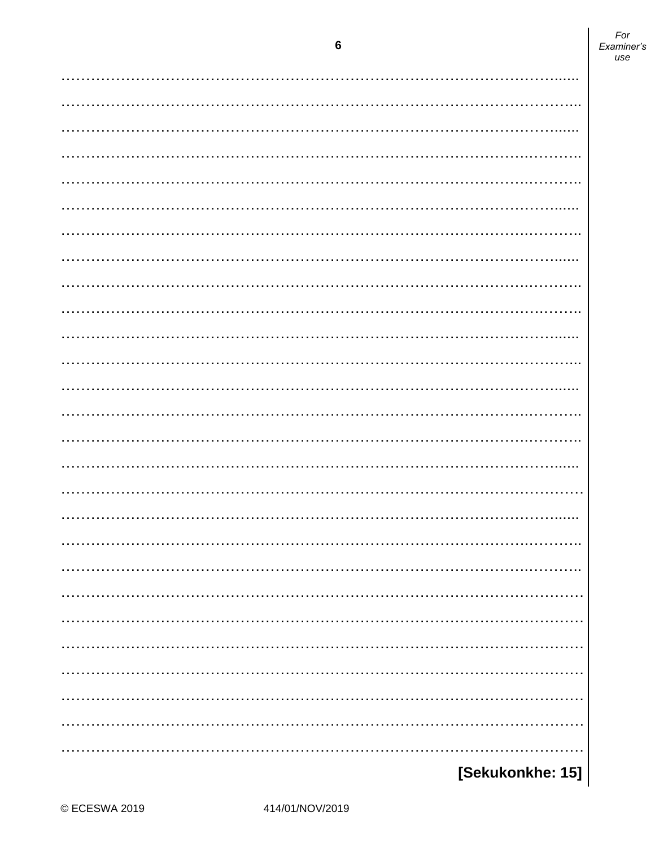For Examiner's use

[Sekukonkhe: 15]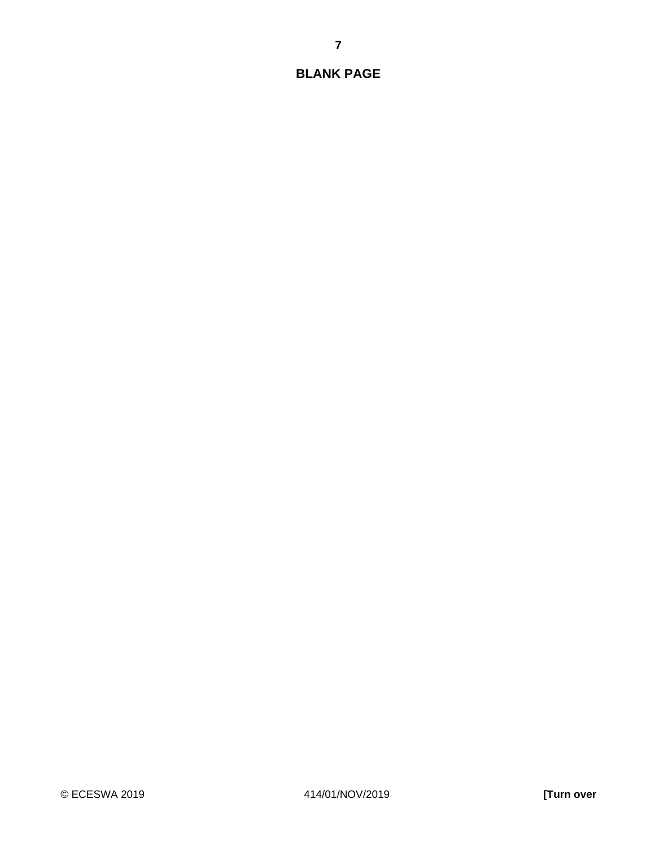### **BLANK PAGE**

**7**